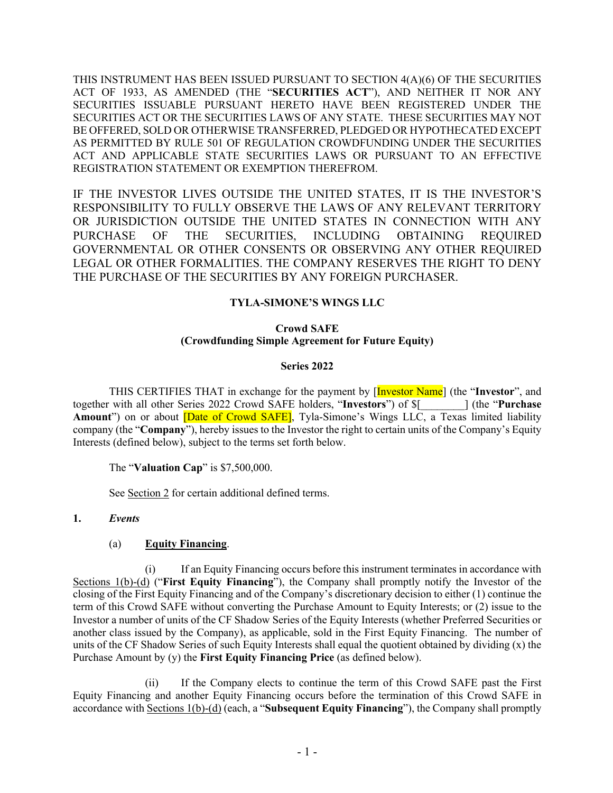THIS INSTRUMENT HAS BEEN ISSUED PURSUANT TO SECTION 4(A)(6) OF THE SECURITIES ACT OF 1933, AS AMENDED (THE "**SECURITIES ACT**"), AND NEITHER IT NOR ANY SECURITIES ISSUABLE PURSUANT HERETO HAVE BEEN REGISTERED UNDER THE SECURITIES ACT OR THE SECURITIES LAWS OF ANY STATE. THESE SECURITIES MAY NOT BE OFFERED, SOLD OR OTHERWISE TRANSFERRED, PLEDGED OR HYPOTHECATED EXCEPT AS PERMITTED BY RULE 501 OF REGULATION CROWDFUNDING UNDER THE SECURITIES ACT AND APPLICABLE STATE SECURITIES LAWS OR PURSUANT TO AN EFFECTIVE REGISTRATION STATEMENT OR EXEMPTION THEREFROM.

IF THE INVESTOR LIVES OUTSIDE THE UNITED STATES, IT IS THE INVESTOR'S RESPONSIBILITY TO FULLY OBSERVE THE LAWS OF ANY RELEVANT TERRITORY OR JURISDICTION OUTSIDE THE UNITED STATES IN CONNECTION WITH ANY PURCHASE OF THE SECURITIES, INCLUDING OBTAINING REQUIRED GOVERNMENTAL OR OTHER CONSENTS OR OBSERVING ANY OTHER REQUIRED LEGAL OR OTHER FORMALITIES. THE COMPANY RESERVES THE RIGHT TO DENY THE PURCHASE OF THE SECURITIES BY ANY FOREIGN PURCHASER.

# **TYLA-SIMONE'S WINGS LLC**

## **Crowd SAFE (Crowdfunding Simple Agreement for Future Equity)**

## **Series 2022**

THIS CERTIFIES THAT in exchange for the payment by [Investor Name] (the "**Investor**", and together with all other Series 2022 Crowd SAFE holders, "**Investors**") of \$[*\_\_\_\_\_\_\_\_*] (the "**Purchase**  Amount") on or about **Date of Crowd SAFE**, Tyla-Simone's Wings LLC, a Texas limited liability company (the "**Company**"), hereby issues to the Investor the right to certain units of the Company's Equity Interests (defined below), subject to the terms set forth below.

The "**Valuation Cap**" is \$7,500,000.

See Section 2 for certain additional defined terms.

# **1.** *Events*

# (a) **Equity Financing**.

(i) If an Equity Financing occurs before this instrument terminates in accordance with Sections 1(b)-(d) ("**First Equity Financing**"), the Company shall promptly notify the Investor of the closing of the First Equity Financing and of the Company's discretionary decision to either (1) continue the term of this Crowd SAFE without converting the Purchase Amount to Equity Interests; or (2) issue to the Investor a number of units of the CF Shadow Series of the Equity Interests (whether Preferred Securities or another class issued by the Company), as applicable, sold in the First Equity Financing. The number of units of the CF Shadow Series of such Equity Interests shall equal the quotient obtained by dividing (x) the Purchase Amount by (y) the **First Equity Financing Price** (as defined below).

(ii) If the Company elects to continue the term of this Crowd SAFE past the First Equity Financing and another Equity Financing occurs before the termination of this Crowd SAFE in accordance with Sections 1(b)-(d) (each, a "**Subsequent Equity Financing**"), the Company shall promptly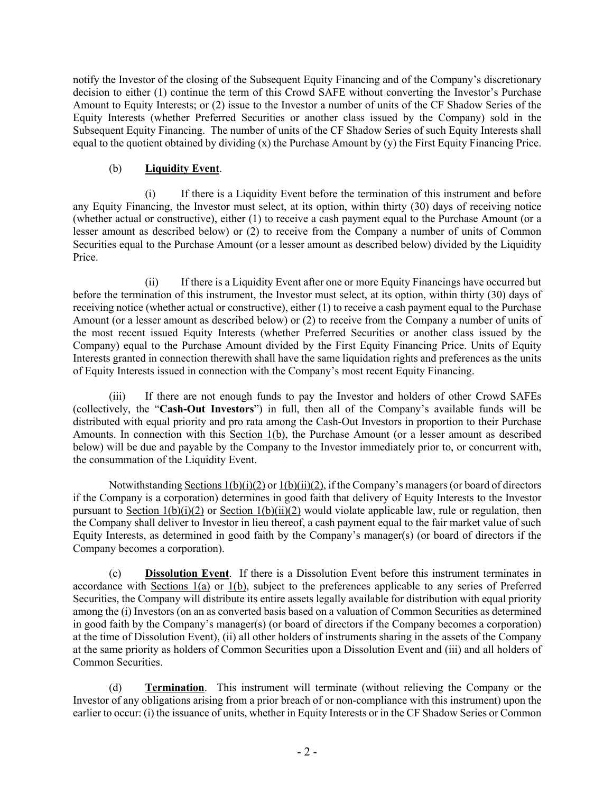notify the Investor of the closing of the Subsequent Equity Financing and of the Company's discretionary decision to either (1) continue the term of this Crowd SAFE without converting the Investor's Purchase Amount to Equity Interests; or (2) issue to the Investor a number of units of the CF Shadow Series of the Equity Interests (whether Preferred Securities or another class issued by the Company) sold in the Subsequent Equity Financing. The number of units of the CF Shadow Series of such Equity Interests shall equal to the quotient obtained by dividing (x) the Purchase Amount by (y) the First Equity Financing Price.

## (b) **Liquidity Event**.

(i) If there is a Liquidity Event before the termination of this instrument and before any Equity Financing, the Investor must select, at its option, within thirty (30) days of receiving notice (whether actual or constructive), either (1) to receive a cash payment equal to the Purchase Amount (or a lesser amount as described below) or (2) to receive from the Company a number of units of Common Securities equal to the Purchase Amount (or a lesser amount as described below) divided by the Liquidity Price.

(ii) If there is a Liquidity Event after one or more Equity Financings have occurred but before the termination of this instrument, the Investor must select, at its option, within thirty (30) days of receiving notice (whether actual or constructive), either (1) to receive a cash payment equal to the Purchase Amount (or a lesser amount as described below) or (2) to receive from the Company a number of units of the most recent issued Equity Interests (whether Preferred Securities or another class issued by the Company) equal to the Purchase Amount divided by the First Equity Financing Price. Units of Equity Interests granted in connection therewith shall have the same liquidation rights and preferences as the units of Equity Interests issued in connection with the Company's most recent Equity Financing.

(iii) If there are not enough funds to pay the Investor and holders of other Crowd SAFEs (collectively, the "**Cash-Out Investors**") in full, then all of the Company's available funds will be distributed with equal priority and pro rata among the Cash-Out Investors in proportion to their Purchase Amounts. In connection with this Section 1(b), the Purchase Amount (or a lesser amount as described below) will be due and payable by the Company to the Investor immediately prior to, or concurrent with, the consummation of the Liquidity Event.

Notwithstanding Sections  $1(b)(i)(2)$  or  $1(b)(ii)(2)$ , if the Company's managers (or board of directors if the Company is a corporation) determines in good faith that delivery of Equity Interests to the Investor pursuant to Section  $1(b)(i)(2)$  or Section  $1(b)(ii)(2)$  would violate applicable law, rule or regulation, then the Company shall deliver to Investor in lieu thereof, a cash payment equal to the fair market value of such Equity Interests, as determined in good faith by the Company's manager(s) (or board of directors if the Company becomes a corporation).

(c) **Dissolution Event**. If there is a Dissolution Event before this instrument terminates in accordance with Sections 1(a) or 1(b), subject to the preferences applicable to any series of Preferred Securities, the Company will distribute its entire assets legally available for distribution with equal priority among the (i) Investors (on an as converted basis based on a valuation of Common Securities as determined in good faith by the Company's manager(s) (or board of directors if the Company becomes a corporation) at the time of Dissolution Event), (ii) all other holders of instruments sharing in the assets of the Company at the same priority as holders of Common Securities upon a Dissolution Event and (iii) and all holders of Common Securities.

(d) **Termination**. This instrument will terminate (without relieving the Company or the Investor of any obligations arising from a prior breach of or non-compliance with this instrument) upon the earlier to occur: (i) the issuance of units, whether in Equity Interests or in the CF Shadow Series or Common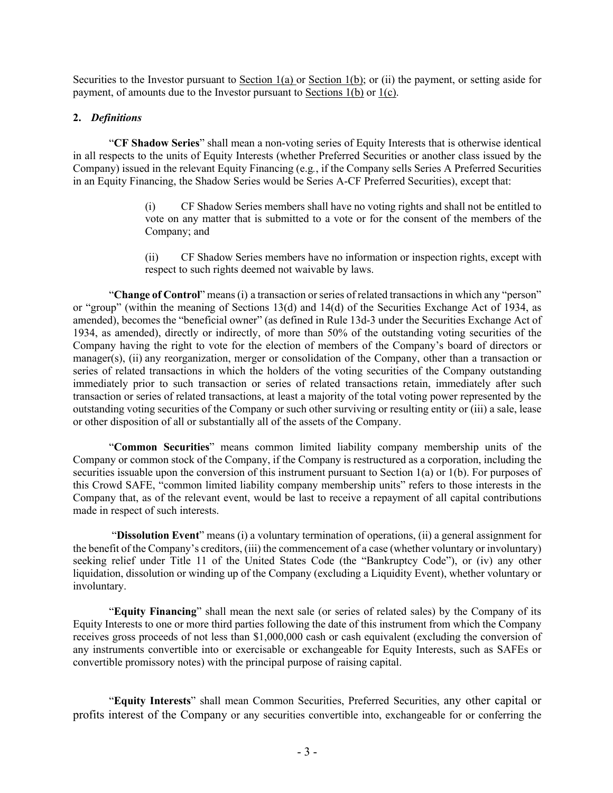Securities to the Investor pursuant to Section  $1(a)$  or Section  $1(b)$ ; or (ii) the payment, or setting aside for payment, of amounts due to the Investor pursuant to Sections 1(b) or 1(c).

### **2.** *Definitions*

"**CF Shadow Series**" shall mean a non-voting series of Equity Interests that is otherwise identical in all respects to the units of Equity Interests (whether Preferred Securities or another class issued by the Company) issued in the relevant Equity Financing (e.g*.*, if the Company sells Series A Preferred Securities in an Equity Financing, the Shadow Series would be Series A-CF Preferred Securities), except that:

- (i) CF Shadow Series members shall have no voting rights and shall not be entitled to vote on any matter that is submitted to a vote or for the consent of the members of the Company; and
- (ii) CF Shadow Series members have no information or inspection rights, except with respect to such rights deemed not waivable by laws.

"**Change of Control**" means (i) a transaction or series of related transactions in which any "person" or "group" (within the meaning of Sections 13(d) and 14(d) of the Securities Exchange Act of 1934, as amended), becomes the "beneficial owner" (as defined in Rule 13d-3 under the Securities Exchange Act of 1934, as amended), directly or indirectly, of more than 50% of the outstanding voting securities of the Company having the right to vote for the election of members of the Company's board of directors or manager(s), (ii) any reorganization, merger or consolidation of the Company, other than a transaction or series of related transactions in which the holders of the voting securities of the Company outstanding immediately prior to such transaction or series of related transactions retain, immediately after such transaction or series of related transactions, at least a majority of the total voting power represented by the outstanding voting securities of the Company or such other surviving or resulting entity or (iii) a sale, lease or other disposition of all or substantially all of the assets of the Company.

"**Common Securities**" means common limited liability company membership units of the Company or common stock of the Company, if the Company is restructured as a corporation, including the securities issuable upon the conversion of this instrument pursuant to Section 1(a) or 1(b). For purposes of this Crowd SAFE, "common limited liability company membership units" refers to those interests in the Company that, as of the relevant event, would be last to receive a repayment of all capital contributions made in respect of such interests.

"**Dissolution Event**" means (i) a voluntary termination of operations, (ii) a general assignment for the benefit of the Company's creditors, (iii) the commencement of a case (whether voluntary or involuntary) seeking relief under Title 11 of the United States Code (the "Bankruptcy Code"), or (iv) any other liquidation, dissolution or winding up of the Company (excluding a Liquidity Event), whether voluntary or involuntary.

"**Equity Financing**" shall mean the next sale (or series of related sales) by the Company of its Equity Interests to one or more third parties following the date of this instrument from which the Company receives gross proceeds of not less than \$1,000,000 cash or cash equivalent (excluding the conversion of any instruments convertible into or exercisable or exchangeable for Equity Interests, such as SAFEs or convertible promissory notes) with the principal purpose of raising capital.

"**Equity Interests**" shall mean Common Securities, Preferred Securities, any other capital or profits interest of the Company or any securities convertible into, exchangeable for or conferring the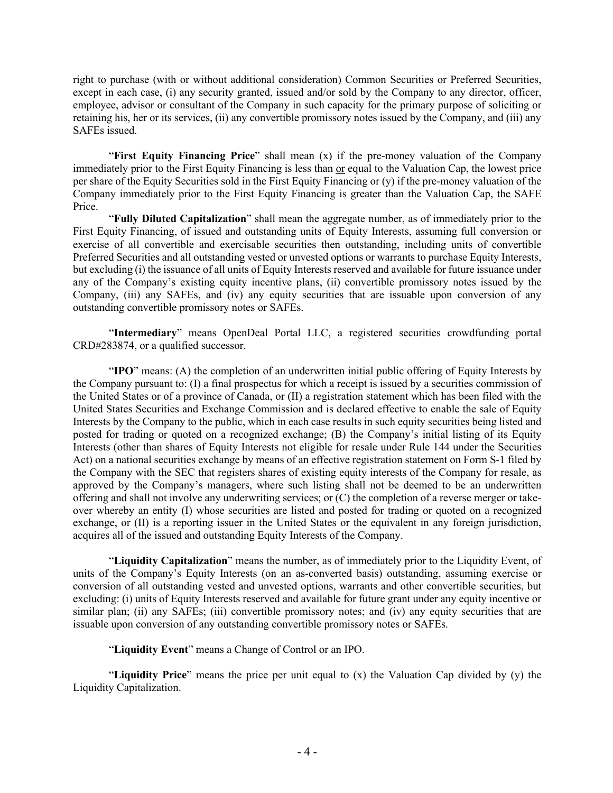right to purchase (with or without additional consideration) Common Securities or Preferred Securities, except in each case, (i) any security granted, issued and/or sold by the Company to any director, officer, employee, advisor or consultant of the Company in such capacity for the primary purpose of soliciting or retaining his, her or its services, (ii) any convertible promissory notes issued by the Company, and (iii) any SAFEs issued.

"**First Equity Financing Price**" shall mean (x) if the pre-money valuation of the Company immediately prior to the First Equity Financing is less than or equal to the Valuation Cap, the lowest price per share of the Equity Securities sold in the First Equity Financing or (y) if the pre-money valuation of the Company immediately prior to the First Equity Financing is greater than the Valuation Cap, the SAFE Price.

"**Fully Diluted Capitalization**" shall mean the aggregate number, as of immediately prior to the First Equity Financing, of issued and outstanding units of Equity Interests, assuming full conversion or exercise of all convertible and exercisable securities then outstanding, including units of convertible Preferred Securities and all outstanding vested or unvested options or warrants to purchase Equity Interests, but excluding (i) the issuance of all units of Equity Interests reserved and available for future issuance under any of the Company's existing equity incentive plans, (ii) convertible promissory notes issued by the Company, (iii) any SAFEs, and (iv) any equity securities that are issuable upon conversion of any outstanding convertible promissory notes or SAFEs.

"**Intermediary**" means OpenDeal Portal LLC, a registered securities crowdfunding portal CRD#283874, or a qualified successor.

"**IPO**" means: (A) the completion of an underwritten initial public offering of Equity Interests by the Company pursuant to: (I) a final prospectus for which a receipt is issued by a securities commission of the United States or of a province of Canada, or (II) a registration statement which has been filed with the United States Securities and Exchange Commission and is declared effective to enable the sale of Equity Interests by the Company to the public, which in each case results in such equity securities being listed and posted for trading or quoted on a recognized exchange; (B) the Company's initial listing of its Equity Interests (other than shares of Equity Interests not eligible for resale under Rule 144 under the Securities Act) on a national securities exchange by means of an effective registration statement on Form S-1 filed by the Company with the SEC that registers shares of existing equity interests of the Company for resale, as approved by the Company's managers, where such listing shall not be deemed to be an underwritten offering and shall not involve any underwriting services; or (C) the completion of a reverse merger or takeover whereby an entity (I) whose securities are listed and posted for trading or quoted on a recognized exchange, or (II) is a reporting issuer in the United States or the equivalent in any foreign jurisdiction, acquires all of the issued and outstanding Equity Interests of the Company.

"**Liquidity Capitalization**" means the number, as of immediately prior to the Liquidity Event, of units of the Company's Equity Interests (on an as-converted basis) outstanding, assuming exercise or conversion of all outstanding vested and unvested options, warrants and other convertible securities, but excluding: (i) units of Equity Interests reserved and available for future grant under any equity incentive or similar plan; (ii) any SAFEs; (iii) convertible promissory notes; and (iv) any equity securities that are issuable upon conversion of any outstanding convertible promissory notes or SAFEs.

"**Liquidity Event**" means a Change of Control or an IPO.

"**Liquidity Price**" means the price per unit equal to (x) the Valuation Cap divided by (y) the Liquidity Capitalization.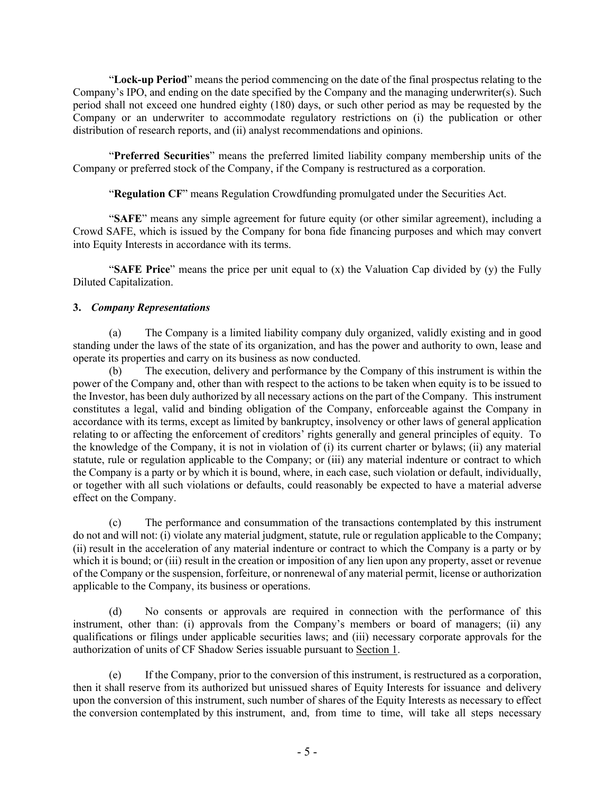"**Lock-up Period**" means the period commencing on the date of the final prospectus relating to the Company's IPO, and ending on the date specified by the Company and the managing underwriter(s). Such period shall not exceed one hundred eighty (180) days, or such other period as may be requested by the Company or an underwriter to accommodate regulatory restrictions on (i) the publication or other distribution of research reports, and (ii) analyst recommendations and opinions.

"**Preferred Securities**" means the preferred limited liability company membership units of the Company or preferred stock of the Company, if the Company is restructured as a corporation.

"**Regulation CF**" means Regulation Crowdfunding promulgated under the Securities Act.

"**SAFE**" means any simple agreement for future equity (or other similar agreement), including a Crowd SAFE, which is issued by the Company for bona fide financing purposes and which may convert into Equity Interests in accordance with its terms.

"**SAFE Price**" means the price per unit equal to (x) the Valuation Cap divided by (y) the Fully Diluted Capitalization.

## **3.** *Company Representations*

The Company is a limited liability company duly organized, validly existing and in good standing under the laws of the state of its organization, and has the power and authority to own, lease and operate its properties and carry on its business as now conducted.

(b) The execution, delivery and performance by the Company of this instrument is within the power of the Company and, other than with respect to the actions to be taken when equity is to be issued to the Investor, has been duly authorized by all necessary actions on the part of the Company. This instrument constitutes a legal, valid and binding obligation of the Company, enforceable against the Company in accordance with its terms, except as limited by bankruptcy, insolvency or other laws of general application relating to or affecting the enforcement of creditors' rights generally and general principles of equity. To the knowledge of the Company, it is not in violation of (i) its current charter or bylaws; (ii) any material statute, rule or regulation applicable to the Company; or (iii) any material indenture or contract to which the Company is a party or by which it is bound, where, in each case, such violation or default, individually, or together with all such violations or defaults, could reasonably be expected to have a material adverse effect on the Company.

(c) The performance and consummation of the transactions contemplated by this instrument do not and will not: (i) violate any material judgment, statute, rule or regulation applicable to the Company; (ii) result in the acceleration of any material indenture or contract to which the Company is a party or by which it is bound; or (iii) result in the creation or imposition of any lien upon any property, asset or revenue of the Company or the suspension, forfeiture, or nonrenewal of any material permit, license or authorization applicable to the Company, its business or operations.

(d) No consents or approvals are required in connection with the performance of this instrument, other than: (i) approvals from the Company's members or board of managers; (ii) any qualifications or filings under applicable securities laws; and (iii) necessary corporate approvals for the authorization of units of CF Shadow Series issuable pursuant to Section 1.

(e) If the Company, prior to the conversion of this instrument, is restructured as a corporation, then it shall reserve from its authorized but unissued shares of Equity Interests for issuance and delivery upon the conversion of this instrument, such number of shares of the Equity Interests as necessary to effect the conversion contemplated by this instrument, and, from time to time, will take all steps necessary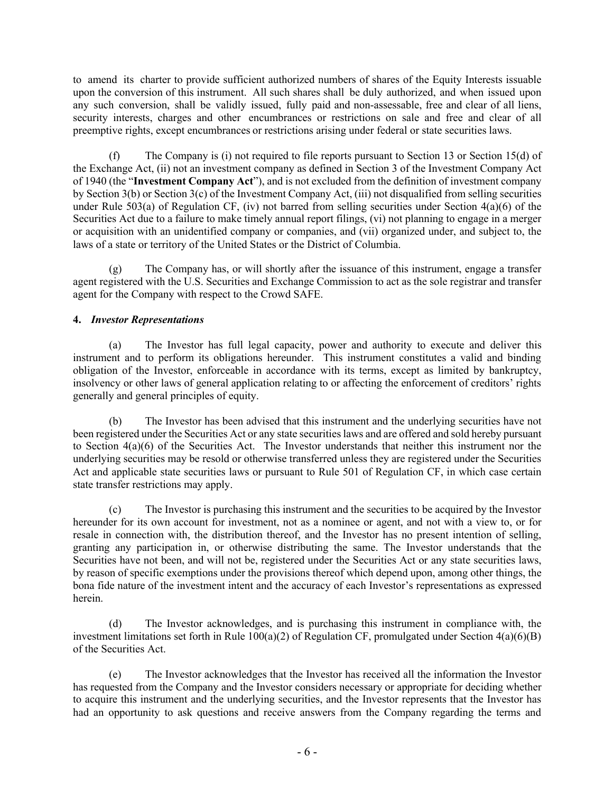to amend its charter to provide sufficient authorized numbers of shares of the Equity Interests issuable upon the conversion of this instrument. All such shares shall be duly authorized, and when issued upon any such conversion, shall be validly issued, fully paid and non-assessable, free and clear of all liens, security interests, charges and other encumbrances or restrictions on sale and free and clear of all preemptive rights, except encumbrances or restrictions arising under federal or state securities laws.

(f) The Company is (i) not required to file reports pursuant to Section 13 or Section 15(d) of the Exchange Act, (ii) not an investment company as defined in Section 3 of the Investment Company Act of 1940 (the "**Investment Company Act**"), and is not excluded from the definition of investment company by Section 3(b) or Section 3(c) of the Investment Company Act, (iii) not disqualified from selling securities under Rule 503(a) of Regulation CF, (iv) not barred from selling securities under Section  $4(a)(6)$  of the Securities Act due to a failure to make timely annual report filings, (vi) not planning to engage in a merger or acquisition with an unidentified company or companies, and (vii) organized under, and subject to, the laws of a state or territory of the United States or the District of Columbia.

(g) The Company has, or will shortly after the issuance of this instrument, engage a transfer agent registered with the U.S. Securities and Exchange Commission to act as the sole registrar and transfer agent for the Company with respect to the Crowd SAFE.

# **4.** *Investor Representations*

(a) The Investor has full legal capacity, power and authority to execute and deliver this instrument and to perform its obligations hereunder. This instrument constitutes a valid and binding obligation of the Investor, enforceable in accordance with its terms, except as limited by bankruptcy, insolvency or other laws of general application relating to or affecting the enforcement of creditors' rights generally and general principles of equity.

(b) The Investor has been advised that this instrument and the underlying securities have not been registered under the Securities Act or any state securities laws and are offered and sold hereby pursuant to Section 4(a)(6) of the Securities Act. The Investor understands that neither this instrument nor the underlying securities may be resold or otherwise transferred unless they are registered under the Securities Act and applicable state securities laws or pursuant to Rule 501 of Regulation CF, in which case certain state transfer restrictions may apply.

(c) The Investor is purchasing this instrument and the securities to be acquired by the Investor hereunder for its own account for investment, not as a nominee or agent, and not with a view to, or for resale in connection with, the distribution thereof, and the Investor has no present intention of selling, granting any participation in, or otherwise distributing the same. The Investor understands that the Securities have not been, and will not be, registered under the Securities Act or any state securities laws, by reason of specific exemptions under the provisions thereof which depend upon, among other things, the bona fide nature of the investment intent and the accuracy of each Investor's representations as expressed herein.

(d) The Investor acknowledges, and is purchasing this instrument in compliance with, the investment limitations set forth in Rule  $100(a)(2)$  of Regulation CF, promulgated under Section  $4(a)(6)(B)$ of the Securities Act.

(e) The Investor acknowledges that the Investor has received all the information the Investor has requested from the Company and the Investor considers necessary or appropriate for deciding whether to acquire this instrument and the underlying securities, and the Investor represents that the Investor has had an opportunity to ask questions and receive answers from the Company regarding the terms and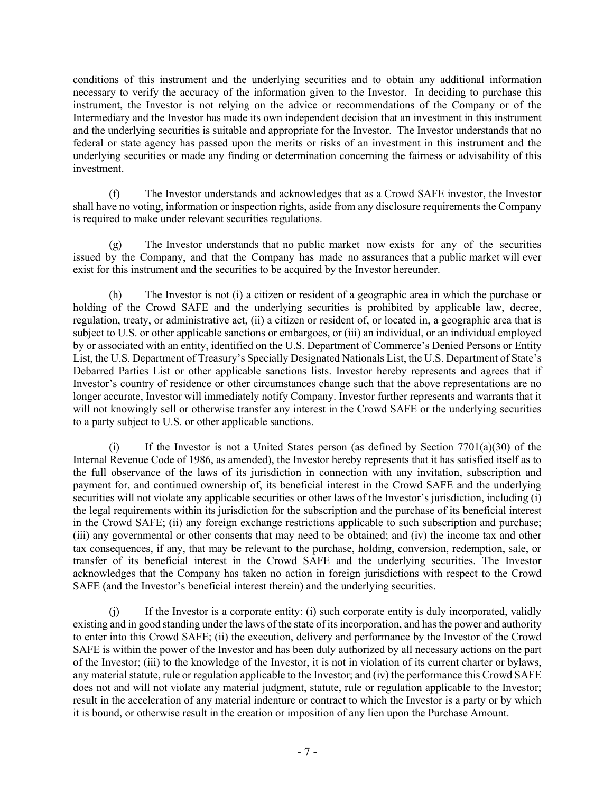conditions of this instrument and the underlying securities and to obtain any additional information necessary to verify the accuracy of the information given to the Investor. In deciding to purchase this instrument, the Investor is not relying on the advice or recommendations of the Company or of the Intermediary and the Investor has made its own independent decision that an investment in this instrument and the underlying securities is suitable and appropriate for the Investor. The Investor understands that no federal or state agency has passed upon the merits or risks of an investment in this instrument and the underlying securities or made any finding or determination concerning the fairness or advisability of this investment.

(f) The Investor understands and acknowledges that as a Crowd SAFE investor, the Investor shall have no voting, information or inspection rights, aside from any disclosure requirements the Company is required to make under relevant securities regulations.

(g) The Investor understands that no public market now exists for any of the securities issued by the Company, and that the Company has made no assurances that a public market will ever exist for this instrument and the securities to be acquired by the Investor hereunder.

(h) The Investor is not (i) a citizen or resident of a geographic area in which the purchase or holding of the Crowd SAFE and the underlying securities is prohibited by applicable law, decree, regulation, treaty, or administrative act, (ii) a citizen or resident of, or located in, a geographic area that is subject to U.S. or other applicable sanctions or embargoes, or (iii) an individual, or an individual employed by or associated with an entity, identified on the U.S. Department of Commerce's Denied Persons or Entity List, the U.S. Department of Treasury's Specially Designated Nationals List, the U.S. Department of State's Debarred Parties List or other applicable sanctions lists. Investor hereby represents and agrees that if Investor's country of residence or other circumstances change such that the above representations are no longer accurate, Investor will immediately notify Company. Investor further represents and warrants that it will not knowingly sell or otherwise transfer any interest in the Crowd SAFE or the underlying securities to a party subject to U.S. or other applicable sanctions.

(i) If the Investor is not a United States person (as defined by Section  $7701(a)(30)$  of the Internal Revenue Code of 1986, as amended), the Investor hereby represents that it has satisfied itself as to the full observance of the laws of its jurisdiction in connection with any invitation, subscription and payment for, and continued ownership of, its beneficial interest in the Crowd SAFE and the underlying securities will not violate any applicable securities or other laws of the Investor's jurisdiction, including (i) the legal requirements within its jurisdiction for the subscription and the purchase of its beneficial interest in the Crowd SAFE; (ii) any foreign exchange restrictions applicable to such subscription and purchase; (iii) any governmental or other consents that may need to be obtained; and (iv) the income tax and other tax consequences, if any, that may be relevant to the purchase, holding, conversion, redemption, sale, or transfer of its beneficial interest in the Crowd SAFE and the underlying securities. The Investor acknowledges that the Company has taken no action in foreign jurisdictions with respect to the Crowd SAFE (and the Investor's beneficial interest therein) and the underlying securities.

(j) If the Investor is a corporate entity: (i) such corporate entity is duly incorporated, validly existing and in good standing under the laws of the state of its incorporation, and has the power and authority to enter into this Crowd SAFE; (ii) the execution, delivery and performance by the Investor of the Crowd SAFE is within the power of the Investor and has been duly authorized by all necessary actions on the part of the Investor; (iii) to the knowledge of the Investor, it is not in violation of its current charter or bylaws, any material statute, rule or regulation applicable to the Investor; and (iv) the performance this Crowd SAFE does not and will not violate any material judgment, statute, rule or regulation applicable to the Investor; result in the acceleration of any material indenture or contract to which the Investor is a party or by which it is bound, or otherwise result in the creation or imposition of any lien upon the Purchase Amount.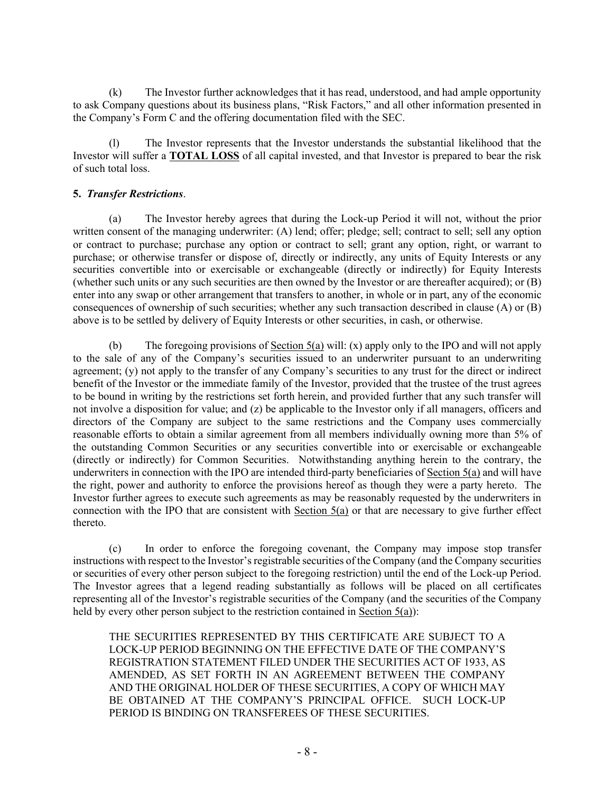(k) The Investor further acknowledges that it has read, understood, and had ample opportunity to ask Company questions about its business plans, "Risk Factors," and all other information presented in the Company's Form C and the offering documentation filed with the SEC.

(l) The Investor represents that the Investor understands the substantial likelihood that the Investor will suffer a **TOTAL LOSS** of all capital invested, and that Investor is prepared to bear the risk of such total loss.

## **5.** *Transfer Restrictions*.

(a) The Investor hereby agrees that during the Lock-up Period it will not, without the prior written consent of the managing underwriter: (A) lend; offer; pledge; sell; contract to sell; sell any option or contract to purchase; purchase any option or contract to sell; grant any option, right, or warrant to purchase; or otherwise transfer or dispose of, directly or indirectly, any units of Equity Interests or any securities convertible into or exercisable or exchangeable (directly or indirectly) for Equity Interests (whether such units or any such securities are then owned by the Investor or are thereafter acquired); or (B) enter into any swap or other arrangement that transfers to another, in whole or in part, any of the economic consequences of ownership of such securities; whether any such transaction described in clause (A) or (B) above is to be settled by delivery of Equity Interests or other securities, in cash, or otherwise.

(b) The foregoing provisions of <u>Section 5(a)</u> will: (x) apply only to the IPO and will not apply to the sale of any of the Company's securities issued to an underwriter pursuant to an underwriting agreement; (y) not apply to the transfer of any Company's securities to any trust for the direct or indirect benefit of the Investor or the immediate family of the Investor, provided that the trustee of the trust agrees to be bound in writing by the restrictions set forth herein, and provided further that any such transfer will not involve a disposition for value; and (z) be applicable to the Investor only if all managers, officers and directors of the Company are subject to the same restrictions and the Company uses commercially reasonable efforts to obtain a similar agreement from all members individually owning more than 5% of the outstanding Common Securities or any securities convertible into or exercisable or exchangeable (directly or indirectly) for Common Securities. Notwithstanding anything herein to the contrary, the underwriters in connection with the IPO are intended third-party beneficiaries of Section 5(a) and will have the right, power and authority to enforce the provisions hereof as though they were a party hereto. The Investor further agrees to execute such agreements as may be reasonably requested by the underwriters in connection with the IPO that are consistent with Section 5(a) or that are necessary to give further effect thereto.

(c) In order to enforce the foregoing covenant, the Company may impose stop transfer instructions with respect to the Investor's registrable securities of the Company (and the Company securities or securities of every other person subject to the foregoing restriction) until the end of the Lock-up Period. The Investor agrees that a legend reading substantially as follows will be placed on all certificates representing all of the Investor's registrable securities of the Company (and the securities of the Company held by every other person subject to the restriction contained in Section 5(a)):

THE SECURITIES REPRESENTED BY THIS CERTIFICATE ARE SUBJECT TO A LOCK-UP PERIOD BEGINNING ON THE EFFECTIVE DATE OF THE COMPANY'S REGISTRATION STATEMENT FILED UNDER THE SECURITIES ACT OF 1933, AS AMENDED, AS SET FORTH IN AN AGREEMENT BETWEEN THE COMPANY AND THE ORIGINAL HOLDER OF THESE SECURITIES, A COPY OF WHICH MAY BE OBTAINED AT THE COMPANY'S PRINCIPAL OFFICE. SUCH LOCK-UP PERIOD IS BINDING ON TRANSFEREES OF THESE SECURITIES.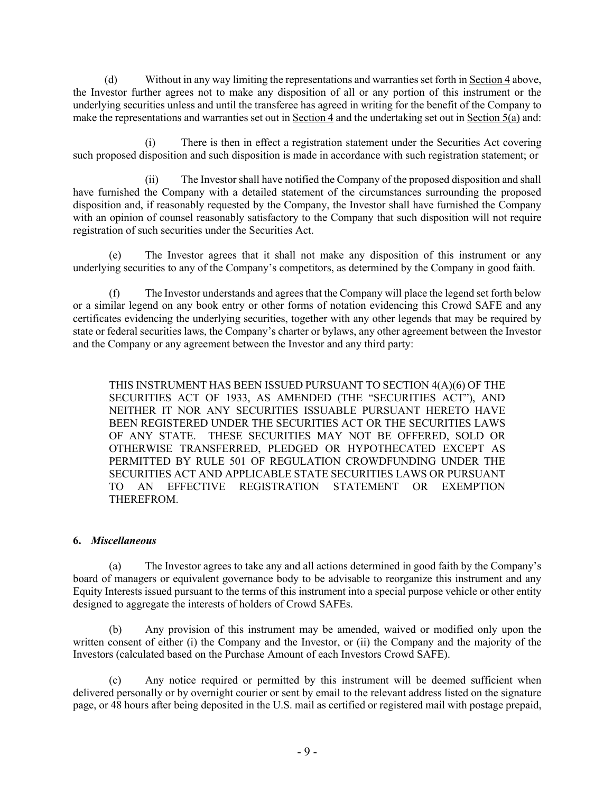(d) Without in any way limiting the representations and warranties set forth in Section 4 above, the Investor further agrees not to make any disposition of all or any portion of this instrument or the underlying securities unless and until the transferee has agreed in writing for the benefit of the Company to make the representations and warranties set out in Section 4 and the undertaking set out in Section 5(a) and:

(i) There is then in effect a registration statement under the Securities Act covering such proposed disposition and such disposition is made in accordance with such registration statement; or

(ii) The Investor shall have notified the Company of the proposed disposition and shall have furnished the Company with a detailed statement of the circumstances surrounding the proposed disposition and, if reasonably requested by the Company, the Investor shall have furnished the Company with an opinion of counsel reasonably satisfactory to the Company that such disposition will not require registration of such securities under the Securities Act.

(e) The Investor agrees that it shall not make any disposition of this instrument or any underlying securities to any of the Company's competitors, as determined by the Company in good faith.

(f) The Investor understands and agrees that the Company will place the legend set forth below or a similar legend on any book entry or other forms of notation evidencing this Crowd SAFE and any certificates evidencing the underlying securities, together with any other legends that may be required by state or federal securities laws, the Company's charter or bylaws, any other agreement between the Investor and the Company or any agreement between the Investor and any third party:

THIS INSTRUMENT HAS BEEN ISSUED PURSUANT TO SECTION 4(A)(6) OF THE SECURITIES ACT OF 1933, AS AMENDED (THE "SECURITIES ACT"), AND NEITHER IT NOR ANY SECURITIES ISSUABLE PURSUANT HERETO HAVE BEEN REGISTERED UNDER THE SECURITIES ACT OR THE SECURITIES LAWS OF ANY STATE. THESE SECURITIES MAY NOT BE OFFERED, SOLD OR OTHERWISE TRANSFERRED, PLEDGED OR HYPOTHECATED EXCEPT AS PERMITTED BY RULE 501 OF REGULATION CROWDFUNDING UNDER THE SECURITIES ACT AND APPLICABLE STATE SECURITIES LAWS OR PURSUANT TO AN EFFECTIVE REGISTRATION STATEMENT OR EXEMPTION THEREFROM.

### **6.** *Miscellaneous*

(a) The Investor agrees to take any and all actions determined in good faith by the Company's board of managers or equivalent governance body to be advisable to reorganize this instrument and any Equity Interests issued pursuant to the terms of this instrument into a special purpose vehicle or other entity designed to aggregate the interests of holders of Crowd SAFEs.

(b) Any provision of this instrument may be amended, waived or modified only upon the written consent of either (i) the Company and the Investor, or (ii) the Company and the majority of the Investors (calculated based on the Purchase Amount of each Investors Crowd SAFE).

(c) Any notice required or permitted by this instrument will be deemed sufficient when delivered personally or by overnight courier or sent by email to the relevant address listed on the signature page, or 48 hours after being deposited in the U.S. mail as certified or registered mail with postage prepaid,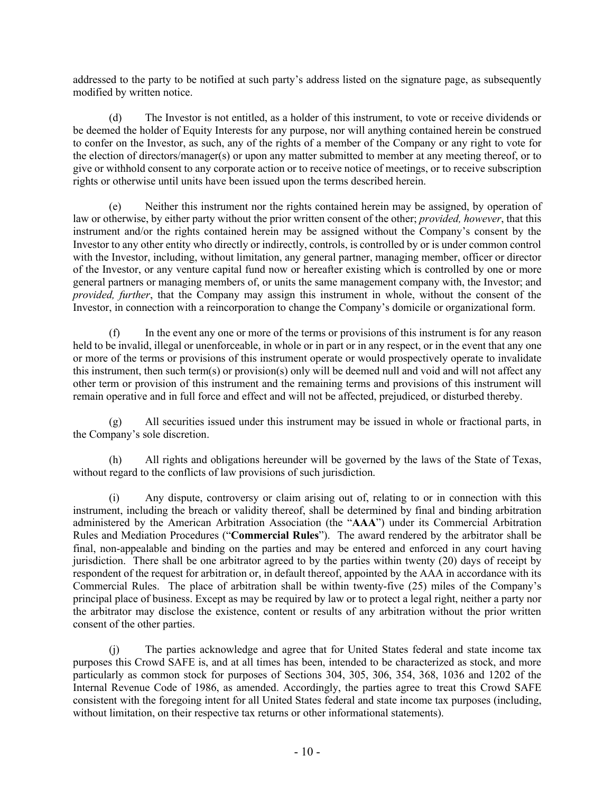addressed to the party to be notified at such party's address listed on the signature page, as subsequently modified by written notice.

(d) The Investor is not entitled, as a holder of this instrument, to vote or receive dividends or be deemed the holder of Equity Interests for any purpose, nor will anything contained herein be construed to confer on the Investor, as such, any of the rights of a member of the Company or any right to vote for the election of directors/manager(s) or upon any matter submitted to member at any meeting thereof, or to give or withhold consent to any corporate action or to receive notice of meetings, or to receive subscription rights or otherwise until units have been issued upon the terms described herein.

(e) Neither this instrument nor the rights contained herein may be assigned, by operation of law or otherwise, by either party without the prior written consent of the other; *provided, however*, that this instrument and/or the rights contained herein may be assigned without the Company's consent by the Investor to any other entity who directly or indirectly, controls, is controlled by or is under common control with the Investor, including, without limitation, any general partner, managing member, officer or director of the Investor, or any venture capital fund now or hereafter existing which is controlled by one or more general partners or managing members of, or units the same management company with, the Investor; and *provided, further*, that the Company may assign this instrument in whole, without the consent of the Investor, in connection with a reincorporation to change the Company's domicile or organizational form.

(f) In the event any one or more of the terms or provisions of this instrument is for any reason held to be invalid, illegal or unenforceable, in whole or in part or in any respect, or in the event that any one or more of the terms or provisions of this instrument operate or would prospectively operate to invalidate this instrument, then such term(s) or provision(s) only will be deemed null and void and will not affect any other term or provision of this instrument and the remaining terms and provisions of this instrument will remain operative and in full force and effect and will not be affected, prejudiced, or disturbed thereby.

(g) All securities issued under this instrument may be issued in whole or fractional parts, in the Company's sole discretion.

(h) All rights and obligations hereunder will be governed by the laws of the State of Texas, without regard to the conflicts of law provisions of such jurisdiction.

(i) Any dispute, controversy or claim arising out of, relating to or in connection with this instrument, including the breach or validity thereof, shall be determined by final and binding arbitration administered by the American Arbitration Association (the "**AAA**") under its Commercial Arbitration Rules and Mediation Procedures ("**Commercial Rules**"). The award rendered by the arbitrator shall be final, non-appealable and binding on the parties and may be entered and enforced in any court having jurisdiction. There shall be one arbitrator agreed to by the parties within twenty (20) days of receipt by respondent of the request for arbitration or, in default thereof, appointed by the AAA in accordance with its Commercial Rules. The place of arbitration shall be within twenty-five (25) miles of the Company's principal place of business. Except as may be required by law or to protect a legal right, neither a party nor the arbitrator may disclose the existence, content or results of any arbitration without the prior written consent of the other parties.

(j) The parties acknowledge and agree that for United States federal and state income tax purposes this Crowd SAFE is, and at all times has been, intended to be characterized as stock, and more particularly as common stock for purposes of Sections 304, 305, 306, 354, 368, 1036 and 1202 of the Internal Revenue Code of 1986, as amended. Accordingly, the parties agree to treat this Crowd SAFE consistent with the foregoing intent for all United States federal and state income tax purposes (including, without limitation, on their respective tax returns or other informational statements).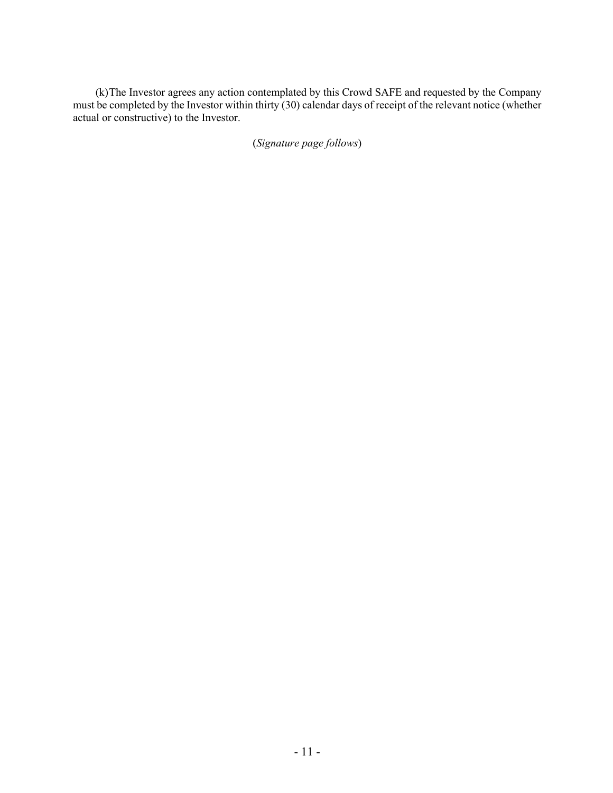(k)The Investor agrees any action contemplated by this Crowd SAFE and requested by the Company must be completed by the Investor within thirty (30) calendar days of receipt of the relevant notice (whether actual or constructive) to the Investor.

(*Signature page follows*)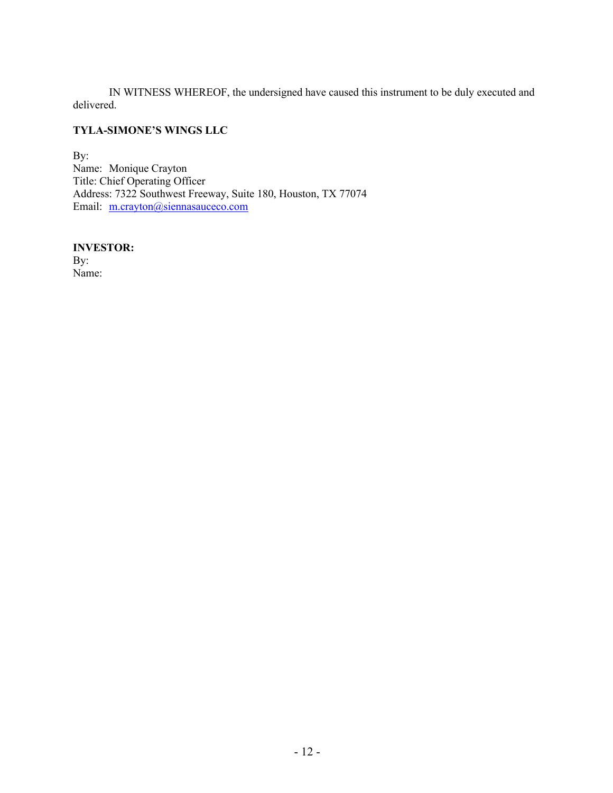IN WITNESS WHEREOF, the undersigned have caused this instrument to be duly executed and delivered.

## **TYLA-SIMONE'S WINGS LLC**

By: Name: Monique Crayton Title: Chief Operating Officer Address: 7322 Southwest Freeway, Suite 180, Houston, TX 77074 Email: m.crayton@siennasauceco.com

**INVESTOR:** By: Name: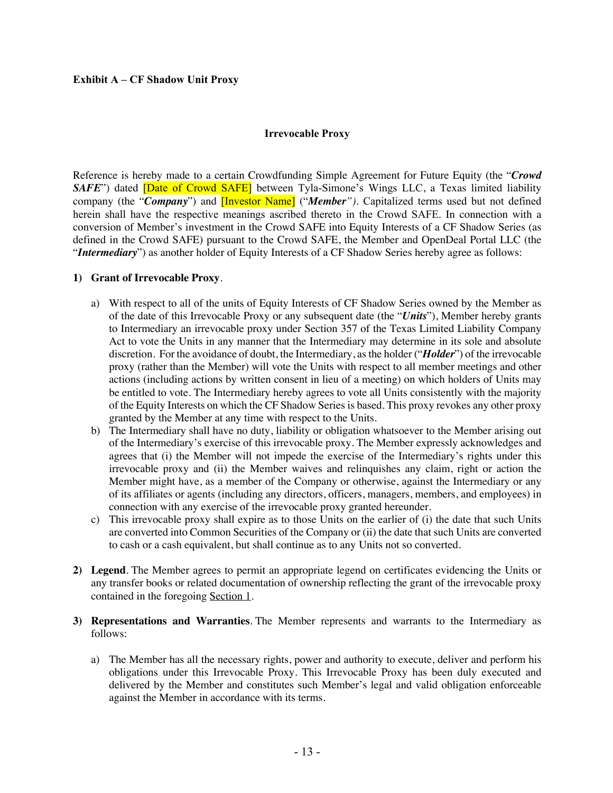### **Exhibit A – CF Shadow Unit Proxy**

#### **Irrevocable Proxy**

Reference is hereby made to a certain Crowdfunding Simple Agreement for Future Equity (the "*Crowd*  **SAFE**") dated **[Date of Crowd SAFE]** between Tyla-Simone's Wings LLC, a Texas limited liability company (the "*Company*") and [Investor Name] ("*Member").* Capitalized terms used but not defined herein shall have the respective meanings ascribed thereto in the Crowd SAFE. In connection with a conversion of Member's investment in the Crowd SAFE into Equity Interests of a CF Shadow Series (as defined in the Crowd SAFE) pursuant to the Crowd SAFE, the Member and OpenDeal Portal LLC (the "*Intermediary*") as another holder of Equity Interests of a CF Shadow Series hereby agree as follows:

### **1) Grant of Irrevocable Proxy**.

- a) With respect to all of the units of Equity Interests of CF Shadow Series owned by the Member as of the date of this Irrevocable Proxy or any subsequent date (the "*Units*"), Member hereby grants to Intermediary an irrevocable proxy under Section 357 of the Texas Limited Liability Company Act to vote the Units in any manner that the Intermediary may determine in its sole and absolute discretion. For the avoidance of doubt, the Intermediary, as the holder ("*Holder*") of the irrevocable proxy (rather than the Member) will vote the Units with respect to all member meetings and other actions (including actions by written consent in lieu of a meeting) on which holders of Units may be entitled to vote. The Intermediary hereby agrees to vote all Units consistently with the majority of the Equity Interests on which the CF Shadow Series is based. This proxy revokes any other proxy granted by the Member at any time with respect to the Units.
- b) The Intermediary shall have no duty, liability or obligation whatsoever to the Member arising out of the Intermediary's exercise of this irrevocable proxy. The Member expressly acknowledges and agrees that (i) the Member will not impede the exercise of the Intermediary's rights under this irrevocable proxy and (ii) the Member waives and relinquishes any claim, right or action the Member might have, as a member of the Company or otherwise, against the Intermediary or any of its affiliates or agents (including any directors, officers, managers, members, and employees) in connection with any exercise of the irrevocable proxy granted hereunder.
- c) This irrevocable proxy shall expire as to those Units on the earlier of (i) the date that such Units are converted into Common Securities of the Company or (ii) the date that such Units are converted to cash or a cash equivalent, but shall continue as to any Units not so converted.
- **2) Legend**. The Member agrees to permit an appropriate legend on certificates evidencing the Units or any transfer books or related documentation of ownership reflecting the grant of the irrevocable proxy contained in the foregoing Section 1.
- **3) Representations and Warranties**. The Member represents and warrants to the Intermediary as follows:
	- a) The Member has all the necessary rights, power and authority to execute, deliver and perform his obligations under this Irrevocable Proxy. This Irrevocable Proxy has been duly executed and delivered by the Member and constitutes such Member's legal and valid obligation enforceable against the Member in accordance with its terms.